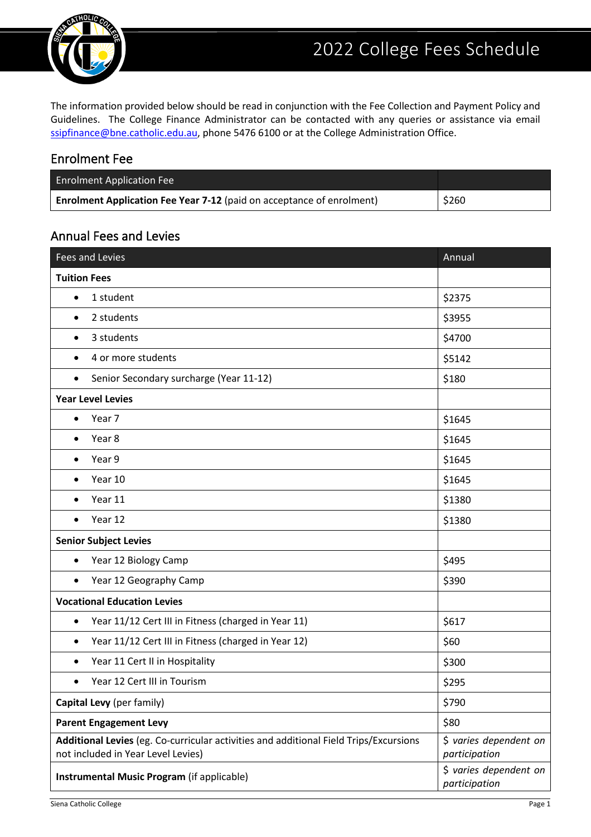

The information provided below should be read in conjunction with the Fee Collection and Payment Policy and Guidelines. The College Finance Administrator can be contacted with any queries or assistance via email [ssipfinance@bne.catholic.edu.au,](mailto:ssipfinance@bne.catholic.edu.au) phone 5476 6100 or at the College Administration Office.

### Enrolment Fee

| <b>Enrolment Application Fee</b>                                             |       |
|------------------------------------------------------------------------------|-------|
| <b>Enrolment Application Fee Year 7-12</b> (paid on acceptance of enrolment) | \$260 |

# Annual Fees and Levies

| Fees and Levies                                                                                                             | Annual                                  |
|-----------------------------------------------------------------------------------------------------------------------------|-----------------------------------------|
| <b>Tuition Fees</b>                                                                                                         |                                         |
| 1 student<br>$\bullet$                                                                                                      | \$2375                                  |
| 2 students<br>$\bullet$                                                                                                     | \$3955                                  |
| 3 students                                                                                                                  | \$4700                                  |
| 4 or more students<br>$\bullet$                                                                                             | \$5142                                  |
| Senior Secondary surcharge (Year 11-12)<br>$\bullet$                                                                        | \$180                                   |
| <b>Year Level Levies</b>                                                                                                    |                                         |
| Year 7<br>$\bullet$                                                                                                         | \$1645                                  |
| Year 8                                                                                                                      | \$1645                                  |
| Year 9<br>$\bullet$                                                                                                         | \$1645                                  |
| Year 10<br>$\bullet$                                                                                                        | \$1645                                  |
| Year 11<br>$\bullet$                                                                                                        | \$1380                                  |
| Year 12<br>$\bullet$                                                                                                        | \$1380                                  |
| <b>Senior Subject Levies</b>                                                                                                |                                         |
| Year 12 Biology Camp<br>$\bullet$                                                                                           | \$495                                   |
| Year 12 Geography Camp<br>$\bullet$                                                                                         | \$390                                   |
| <b>Vocational Education Levies</b>                                                                                          |                                         |
| Year 11/12 Cert III in Fitness (charged in Year 11)<br>$\bullet$                                                            | \$617                                   |
| Year 11/12 Cert III in Fitness (charged in Year 12)<br>$\bullet$                                                            | \$60                                    |
| Year 11 Cert II in Hospitality<br>$\bullet$                                                                                 | \$300                                   |
| Year 12 Cert III in Tourism<br>٠                                                                                            | \$295                                   |
| Capital Levy (per family)                                                                                                   | \$790                                   |
| <b>Parent Engagement Levy</b>                                                                                               | \$80                                    |
| Additional Levies (eg. Co-curricular activities and additional Field Trips/Excursions<br>not included in Year Level Levies) | \$ varies dependent on<br>participation |
| Instrumental Music Program (if applicable)                                                                                  | \$ varies dependent on<br>participation |